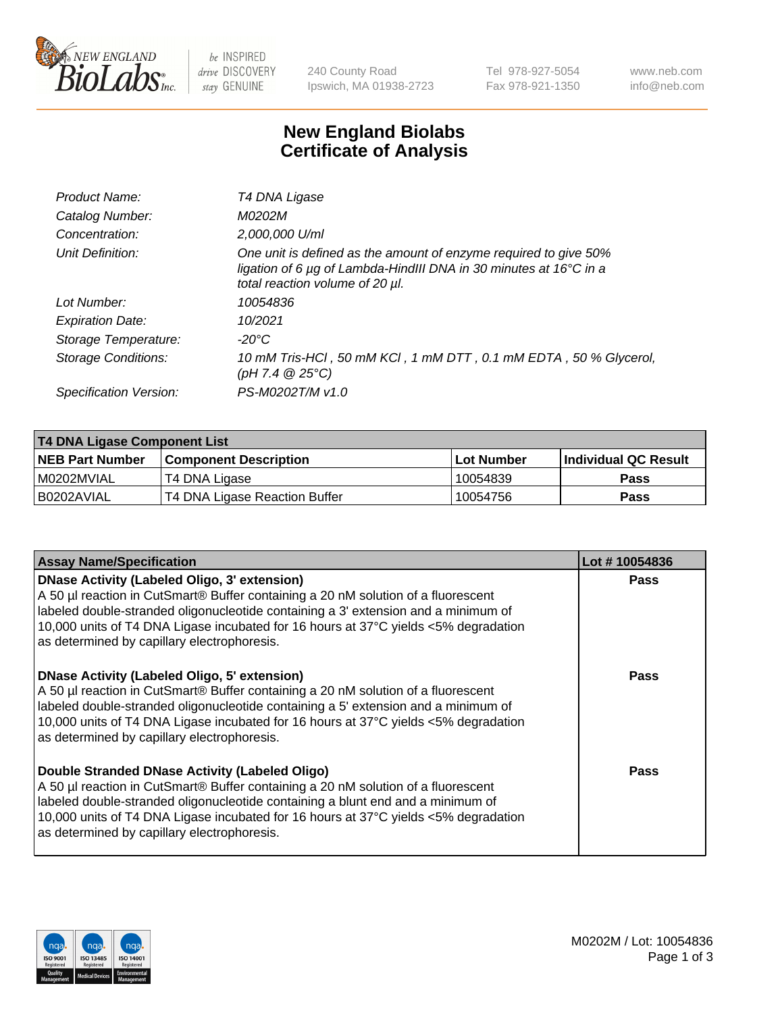

be INSPIRED drive DISCOVERY stay GENUINE

240 County Road Ipswich, MA 01938-2723 Tel 978-927-5054 Fax 978-921-1350 www.neb.com info@neb.com

## **New England Biolabs Certificate of Analysis**

| Product Name:           | T4 DNA Ligase                                                                                                                                                                           |
|-------------------------|-----------------------------------------------------------------------------------------------------------------------------------------------------------------------------------------|
| Catalog Number:         | M0202M                                                                                                                                                                                  |
| Concentration:          | 2,000,000 U/ml                                                                                                                                                                          |
| Unit Definition:        | One unit is defined as the amount of enzyme required to give 50%<br>ligation of 6 $\mu$ g of Lambda-HindIII DNA in 30 minutes at 16 $\degree$ C in a<br>total reaction volume of 20 µl. |
| Lot Number:             | 10054836                                                                                                                                                                                |
| <b>Expiration Date:</b> | 10/2021                                                                                                                                                                                 |
| Storage Temperature:    | -20°C                                                                                                                                                                                   |
| Storage Conditions:     | 10 mM Tris-HCl, 50 mM KCl, 1 mM DTT, 0.1 mM EDTA, 50 % Glycerol,<br>$(pH 7.4 \ @ 25^{\circ}C)$                                                                                          |
| Specification Version:  | PS-M0202T/M v1.0                                                                                                                                                                        |

| <b>T4 DNA Ligase Component List</b> |                               |             |                       |  |
|-------------------------------------|-------------------------------|-------------|-----------------------|--|
| <b>NEB Part Number</b>              | l Component Description       | ⊺Lot Number | ∣Individual QC Result |  |
| I M0202MVIAL                        | T4 DNA Ligase                 | 10054839    | <b>Pass</b>           |  |
| B0202AVIAL                          | T4 DNA Ligase Reaction Buffer | 10054756    | <b>Pass</b>           |  |

| <b>Assay Name/Specification</b>                                                                                                                                                                                                                                                                                                                               | Lot #10054836 |
|---------------------------------------------------------------------------------------------------------------------------------------------------------------------------------------------------------------------------------------------------------------------------------------------------------------------------------------------------------------|---------------|
| DNase Activity (Labeled Oligo, 3' extension)<br>A 50 µl reaction in CutSmart® Buffer containing a 20 nM solution of a fluorescent<br>labeled double-stranded oligonucleotide containing a 3' extension and a minimum of<br>10,000 units of T4 DNA Ligase incubated for 16 hours at 37°C yields <5% degradation<br>as determined by capillary electrophoresis. | <b>Pass</b>   |
| DNase Activity (Labeled Oligo, 5' extension)<br>A 50 µl reaction in CutSmart® Buffer containing a 20 nM solution of a fluorescent<br>labeled double-stranded oligonucleotide containing a 5' extension and a minimum of<br>10,000 units of T4 DNA Ligase incubated for 16 hours at 37°C yields <5% degradation<br>as determined by capillary electrophoresis. | <b>Pass</b>   |
| Double Stranded DNase Activity (Labeled Oligo)<br>A 50 µl reaction in CutSmart® Buffer containing a 20 nM solution of a fluorescent<br>abeled double-stranded oligonucleotide containing a blunt end and a minimum of<br>10,000 units of T4 DNA Ligase incubated for 16 hours at 37°C yields <5% degradation<br>as determined by capillary electrophoresis.   | Pass          |

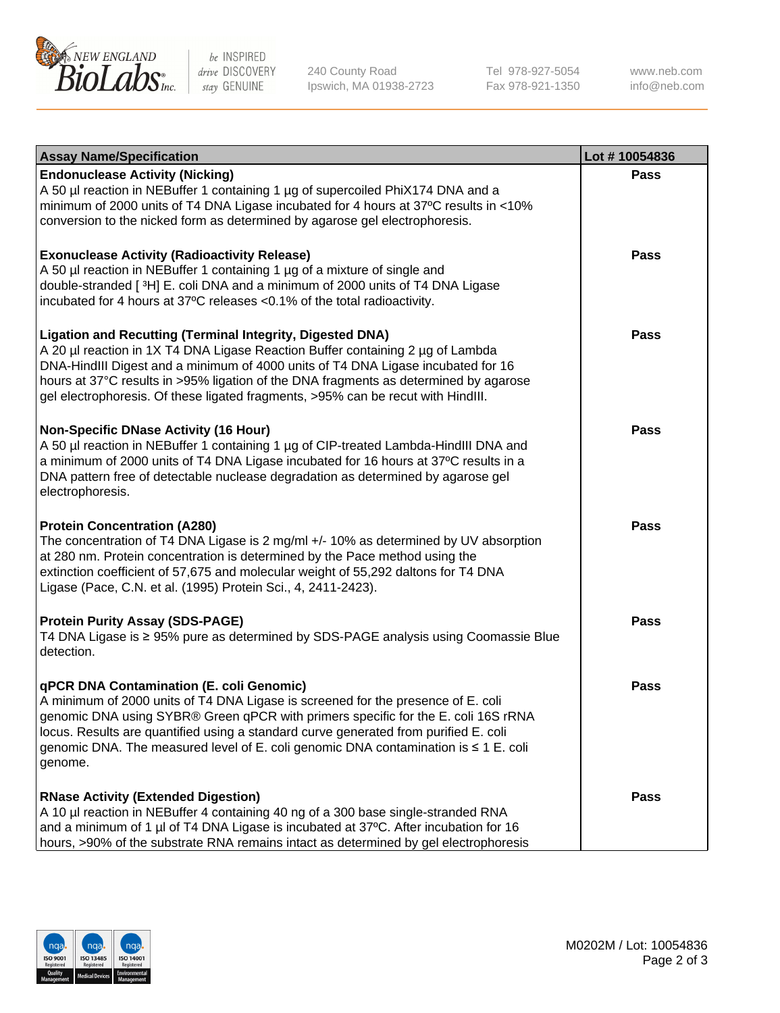

be INSPIRED drive DISCOVERY stay GENUINE

240 County Road Ipswich, MA 01938-2723 Tel 978-927-5054 Fax 978-921-1350 www.neb.com info@neb.com

| <b>Assay Name/Specification</b>                                                                                                                                                                                                                                                                                                                                                                                    | Lot #10054836 |
|--------------------------------------------------------------------------------------------------------------------------------------------------------------------------------------------------------------------------------------------------------------------------------------------------------------------------------------------------------------------------------------------------------------------|---------------|
| <b>Endonuclease Activity (Nicking)</b><br>A 50 µl reaction in NEBuffer 1 containing 1 µg of supercoiled PhiX174 DNA and a<br>minimum of 2000 units of T4 DNA Ligase incubated for 4 hours at 37°C results in <10%<br>conversion to the nicked form as determined by agarose gel electrophoresis.                                                                                                                   | <b>Pass</b>   |
| <b>Exonuclease Activity (Radioactivity Release)</b><br>A 50 µl reaction in NEBuffer 1 containing 1 µg of a mixture of single and<br>double-stranded [3H] E. coli DNA and a minimum of 2000 units of T4 DNA Ligase<br>incubated for 4 hours at 37°C releases <0.1% of the total radioactivity.                                                                                                                      | <b>Pass</b>   |
| <b>Ligation and Recutting (Terminal Integrity, Digested DNA)</b><br>A 20 µl reaction in 1X T4 DNA Ligase Reaction Buffer containing 2 µg of Lambda<br>DNA-HindIII Digest and a minimum of 4000 units of T4 DNA Ligase incubated for 16<br>hours at 37°C results in >95% ligation of the DNA fragments as determined by agarose<br>gel electrophoresis. Of these ligated fragments, >95% can be recut with HindIII. | <b>Pass</b>   |
| <b>Non-Specific DNase Activity (16 Hour)</b><br>A 50 µl reaction in NEBuffer 1 containing 1 µg of CIP-treated Lambda-HindIII DNA and<br>a minimum of 2000 units of T4 DNA Ligase incubated for 16 hours at 37°C results in a<br>DNA pattern free of detectable nuclease degradation as determined by agarose gel<br>electrophoresis.                                                                               | <b>Pass</b>   |
| <b>Protein Concentration (A280)</b><br>The concentration of T4 DNA Ligase is 2 mg/ml +/- 10% as determined by UV absorption<br>at 280 nm. Protein concentration is determined by the Pace method using the<br>extinction coefficient of 57,675 and molecular weight of 55,292 daltons for T4 DNA<br>Ligase (Pace, C.N. et al. (1995) Protein Sci., 4, 2411-2423).                                                  | <b>Pass</b>   |
| <b>Protein Purity Assay (SDS-PAGE)</b><br>T4 DNA Ligase is ≥ 95% pure as determined by SDS-PAGE analysis using Coomassie Blue<br>detection.                                                                                                                                                                                                                                                                        | <b>Pass</b>   |
| qPCR DNA Contamination (E. coli Genomic)<br>A minimum of 2000 units of T4 DNA Ligase is screened for the presence of E. coli<br>genomic DNA using SYBR® Green qPCR with primers specific for the E. coli 16S rRNA<br>locus. Results are quantified using a standard curve generated from purified E. coli<br>genomic DNA. The measured level of E. coli genomic DNA contamination is ≤ 1 E. coli<br>genome.        | Pass          |
| <b>RNase Activity (Extended Digestion)</b><br>A 10 µl reaction in NEBuffer 4 containing 40 ng of a 300 base single-stranded RNA<br>and a minimum of 1 µl of T4 DNA Ligase is incubated at 37°C. After incubation for 16<br>hours, >90% of the substrate RNA remains intact as determined by gel electrophoresis                                                                                                    | Pass          |